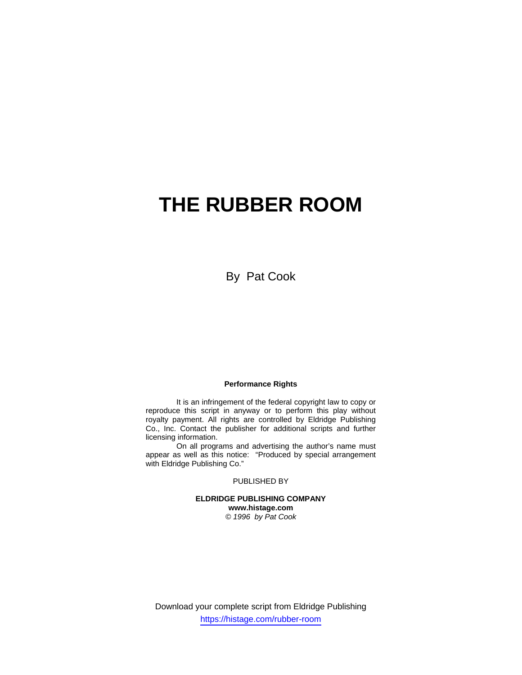# **THE RUBBER ROOM**

By Pat Cook

### **Performance Rights**

 It is an infringement of the federal copyright law to copy or reproduce this script in anyway or to perform this play without royalty payment. All rights are controlled by Eldridge Publishing Co., Inc. Contact the publisher for additional scripts and further licensing information.

 On all programs and advertising the author's name must appear as well as this notice: "Produced by special arrangement with Eldridge Publishing Co."

### PUBLISHED BY

**ELDRIDGE PUBLISHING COMPANY www.histage.com**  *© 1996 by Pat Cook* 

Download your complete script from Eldridge Publishing https://histage.com/rubber-room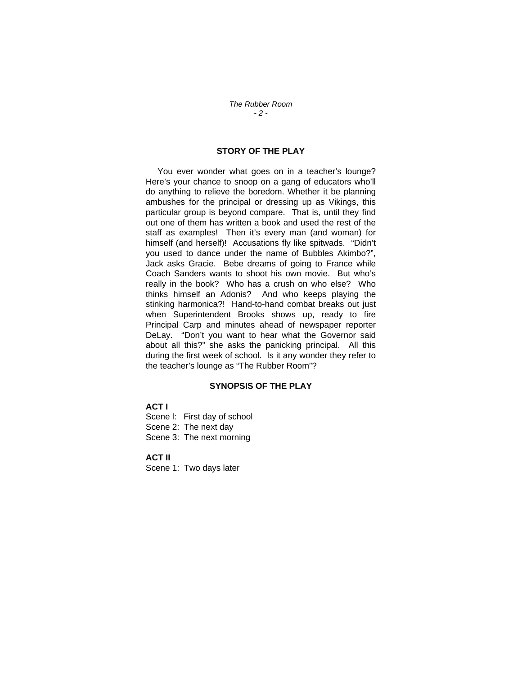### *The Rubber Room - 2 -*

### **STORY OF THE PLAY**

 You ever wonder what goes on in a teacher's lounge? Here's your chance to snoop on a gang of educators who'll do anything to relieve the boredom. Whether it be planning ambushes for the principal or dressing up as Vikings, this particular group is beyond compare. That is, until they find out one of them has written a book and used the rest of the staff as examples! Then it's every man (and woman) for himself (and herself)! Accusations fly like spitwads. "Didn't you used to dance under the name of Bubbles Akimbo?", Jack asks Gracie. Bebe dreams of going to France while Coach Sanders wants to shoot his own movie. But who's really in the book? Who has a crush on who else? Who thinks himself an Adonis? And who keeps playing the stinking harmonica?! Hand-to-hand combat breaks out just when Superintendent Brooks shows up, ready to fire Principal Carp and minutes ahead of newspaper reporter DeLay. "Don't you want to hear what the Governor said about all this?" she asks the panicking principal. All this during the first week of school. Is it any wonder they refer to the teacher's lounge as "The Rubber Room"?

## **SYNOPSIS OF THE PLAY**

## **ACT I**

Scene l: First day of school Scene 2: The next day Scene 3: The next morning

### **ACT II**

Scene 1: Two days later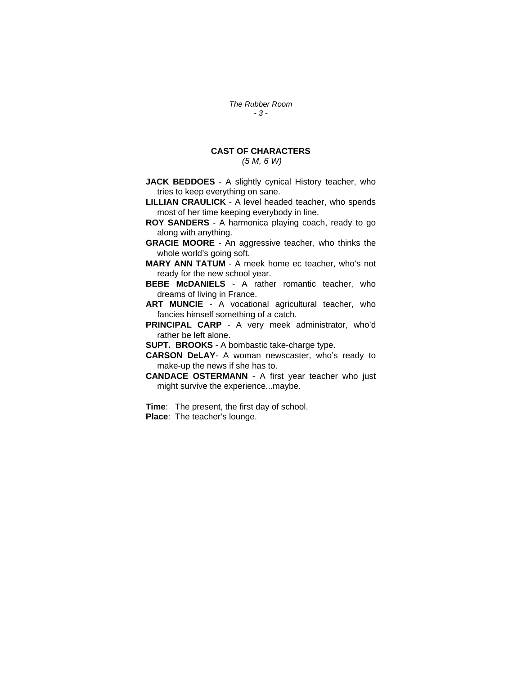*The Rubber Room - 3 -* 

# **CAST OF CHARACTERS**

 *(5 M, 6 W)* 

**JACK BEDDOES** - A slightly cynical History teacher, who tries to keep everything on sane.

**LILLIAN CRAULICK** - A level headed teacher, who spends most of her time keeping everybody in line.

**ROY SANDERS** - A harmonica playing coach, ready to go along with anything.

**GRACIE MOORE** - An aggressive teacher, who thinks the whole world's going soft.

**MARY ANN TATUM** - A meek home ec teacher, who's not ready for the new school year.

**BEBE McDANIELS** - A rather romantic teacher, who dreams of living in France.

**ART MUNCIE** - A vocational agricultural teacher, who fancies himself something of a catch.

**PRINCIPAL CARP** - A very meek administrator, who'd rather be left alone.

**SUPT. BROOKS** - A bombastic take-charge type.

**CARSON DeLAY**- A woman newscaster, who's ready to make-up the news if she has to.

**CANDACE OSTERMANN** - A first year teacher who just might survive the experience...maybe.

**Time**: The present, the first day of school. **Place**: The teacher's lounge.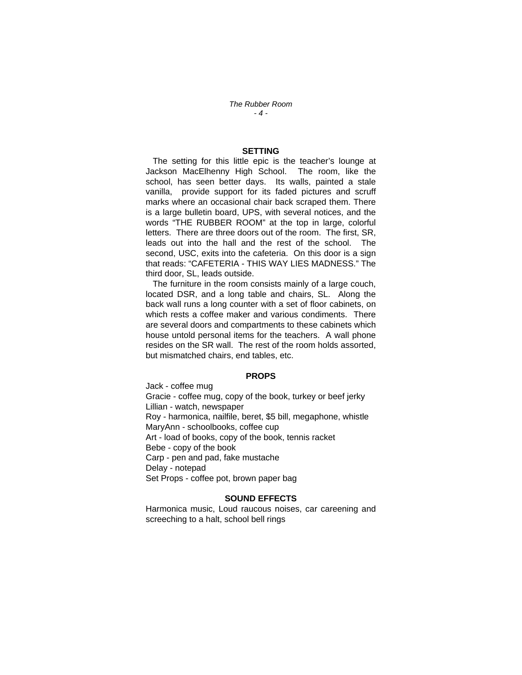*The Rubber Room - 4 -* 

### **SETTING**

 The setting for this little epic is the teacher's lounge at Jackson MacElhenny High School. The room, like the school, has seen better days. Its walls, painted a stale vanilla, provide support for its faded pictures and scruff marks where an occasional chair back scraped them. There is a large bulletin board, UPS, with several notices, and the words "THE RUBBER ROOM" at the top in large, colorful letters. There are three doors out of the room. The first, SR, leads out into the hall and the rest of the school. The second, USC, exits into the cafeteria. On this door is a sign that reads: "CAFETERIA - THIS WAY LIES MADNESS." The third door, SL, leads outside.

 The furniture in the room consists mainly of a large couch, located DSR, and a long table and chairs, SL. Along the back wall runs a long counter with a set of floor cabinets, on which rests a coffee maker and various condiments. There are several doors and compartments to these cabinets which house untold personal items for the teachers. A wall phone resides on the SR wall. The rest of the room holds assorted, but mismatched chairs, end tables, etc.

#### **PROPS**

Jack - coffee mug Gracie - coffee mug, copy of the book, turkey or beef jerky Lillian - watch, newspaper Roy - harmonica, nailfile, beret, \$5 bill, megaphone, whistle MaryAnn - schoolbooks, coffee cup Art - load of books, copy of the book, tennis racket Bebe - copy of the book Carp - pen and pad, fake mustache Delay - notepad Set Props - coffee pot, brown paper bag

### **SOUND EFFECTS**

Harmonica music, Loud raucous noises, car careening and screeching to a halt, school bell rings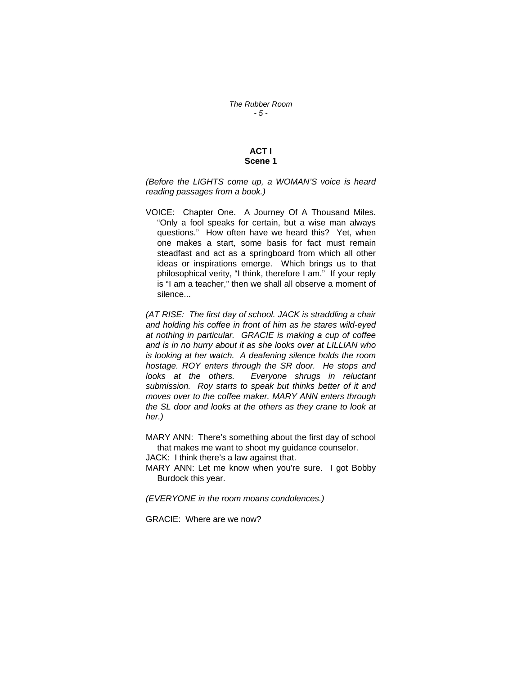### **ACT I Scene 1**

*(Before the LIGHTS come up, a WOMAN'S voice is heard reading passages from a book.)* 

VOICE: Chapter One. A Journey Of A Thousand Miles. "Only a fool speaks for certain, but a wise man always questions." How often have we heard this? Yet, when one makes a start, some basis for fact must remain steadfast and act as a springboard from which all other ideas or inspirations emerge. Which brings us to that philosophical verity, "I think, therefore I am." If your reply is "I am a teacher," then we shall all observe a moment of silence...

*(AT RISE: The first day of school. JACK is straddling a chair and holding his coffee in front of him as he stares wild-eyed at nothing in particular. GRACIE is making a cup of coffee and is in no hurry about it as she looks over at LILLIAN who is looking at her watch. A deafening silence holds the room hostage. ROY enters through the SR door. He stops and looks at the others. Everyone shrugs in reluctant submission. Roy starts to speak but thinks better of it and moves over to the coffee maker. MARY ANN enters through the SL door and looks at the others as they crane to look at her.)* 

MARY ANN: There's something about the first day of school that makes me want to shoot my guidance counselor. JACK: I think there's a law against that.

MARY ANN: Let me know when you're sure. I got Bobby Burdock this year.

*(EVERYONE in the room moans condolences.)* 

GRACIE: Where are we now?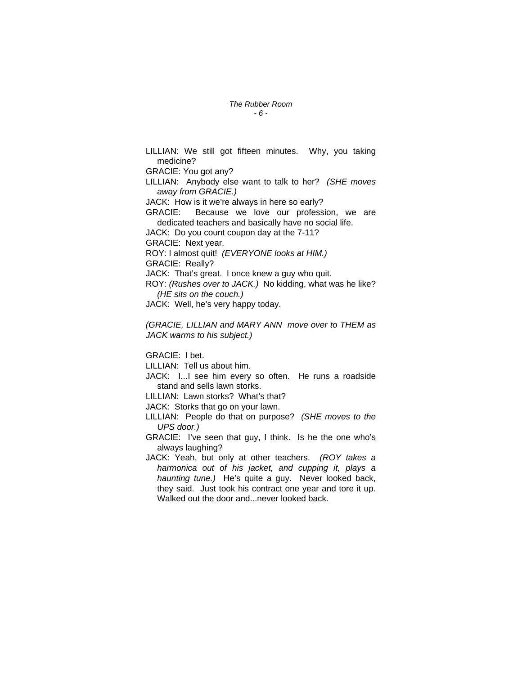### *The Rubber Room - 6 -*

LILLIAN: We still got fifteen minutes. Why, you taking medicine? GRACIE: You got any? LILLIAN: Anybody else want to talk to her? *(SHE moves away from GRACIE.)*  JACK: How is it we're always in here so early? GRACIE: Because we love our profession, we are dedicated teachers and basically have no social life. JACK: Do you count coupon day at the 7-11? GRACIE: Next year. ROY: I almost quit! *(EVERYONE looks at HIM.)*  GRACIE: Really? JACK: That's great. I once knew a guy who quit. ROY: *(Rushes over to JACK.)* No kidding, what was he like? *(HE sits on the couch.)*  JACK: Well, he's very happy today. *(GRACIE, LILLIAN and MARY ANN move over to THEM as* 

*JACK warms to his subject.)* 

GRACIE: I bet.

LILLIAN: Tell us about him.

JACK: I...I see him every so often. He runs a roadside stand and sells lawn storks.

LILLIAN: Lawn storks? What's that?

JACK: Storks that go on your lawn.

LILLIAN: People do that on purpose? *(SHE moves to the UPS door.)* 

GRACIE: I've seen that guy, I think. Is he the one who's always laughing?

JACK: Yeah, but only at other teachers. *(ROY takes a harmonica out of his jacket, and cupping it, plays a haunting tune.)* He's quite a guy. Never looked back, they said. Just took his contract one year and tore it up. Walked out the door and...never looked back.